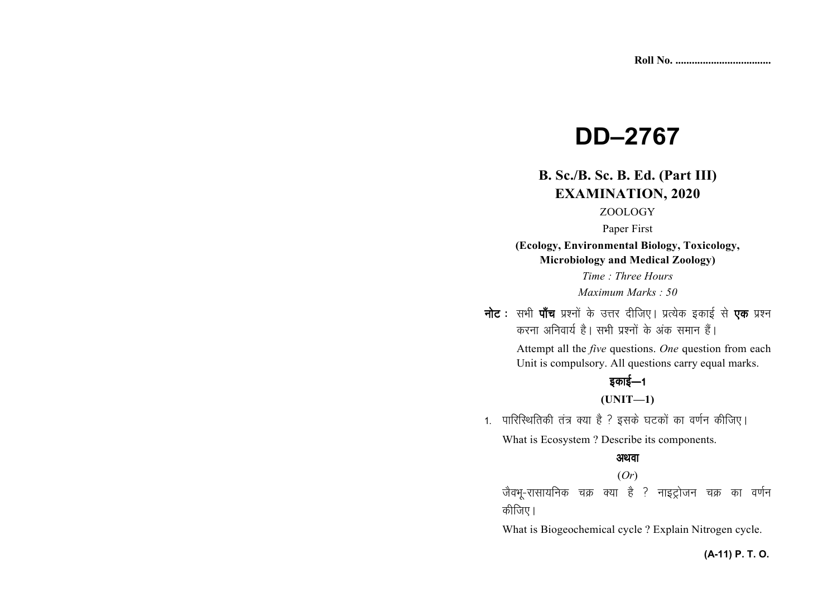# **DD–2767**

### **B. Sc./B. Sc. B. Ed. (Part III)EXAMINATION, 2020**

### ZOOLOGY

#### Paper First

**(Ecology, Environmental Biology, Toxicology, Microbiology and Medical Zoology)** 

*Time : Three Hours Maximum Marks : 50*

**नोट** : सभी **पाँच** प्रश्नों के उत्तर दीजिए। प्रत्येक इकाई से **एक** प्रश्न करना अनिवार्य है। सभी प्रश्नों के अंक समान हैं।

> Attempt all the *five* questions. *One* question from each Unit is compulsory. All questions carry equal marks.

# डकाई $-1$

#### **(UNIT—1)**

1. पारिस्थितिकी तंत्र क्या है ? इसके घटकों का वर्णन कीजिए। What is Ecosystem ? Describe its components.

#### अथवा

#### (*Or*)

जैवभू-रासायनिक चक्र क्या है ? नाइट्रोजन चक्र का वर्णन कीजिए।

What is Biogeochemical cycle ? Explain Nitrogen cycle.

#### **(A-11) P. T. O.**